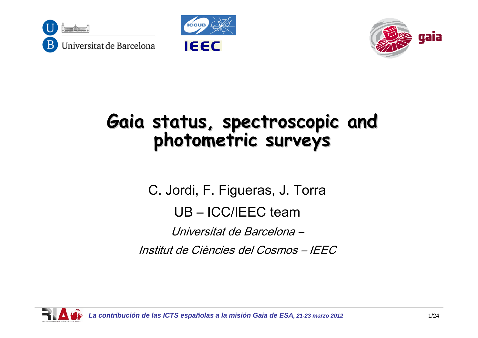





# **Gaia status, spectroscopic and Gaia status, spectroscopic and photometric surveys <sup>p</sup>hotometric surveys**

C. Jordi, F. Figueras, J. Torra

UB – ICC/IEEC team

Universitat de Barcelona –

Institut de Ciències del Cosmos – IEEC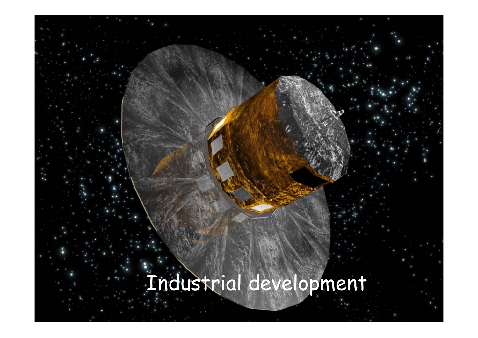## Industrial development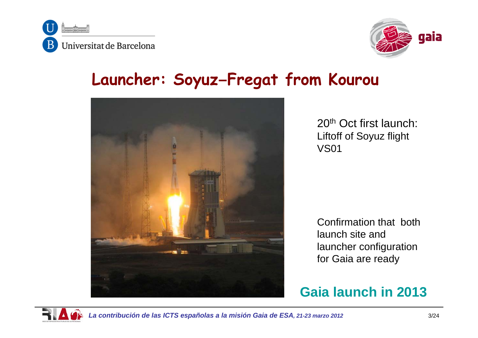



### **Launcher: Soyuz–Fregat from Kourou**



20th Oct first launch: Liftoff of Soyuz flight VS01

Confirmation that both launch site and launcher configuration for Gaia are ready

#### **Gaia launch in 2013**

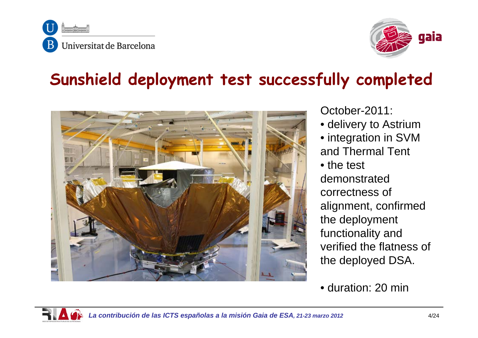



### **Sunshield deployment test successfully completed**



October-2011:

- delivery to Astrium
- integration in SVM and Thermal Tent
- the test

demonstrated correctness of alignment, confirmed the deployment functionality and verified the flatness of the deployed DSA.

• duration: 20 min

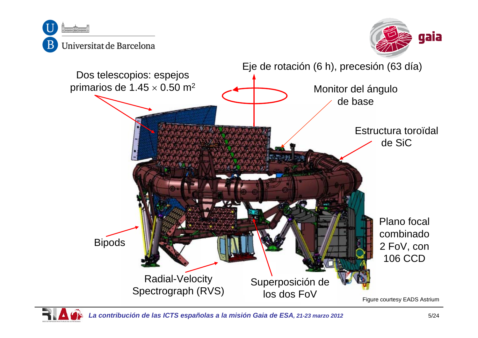

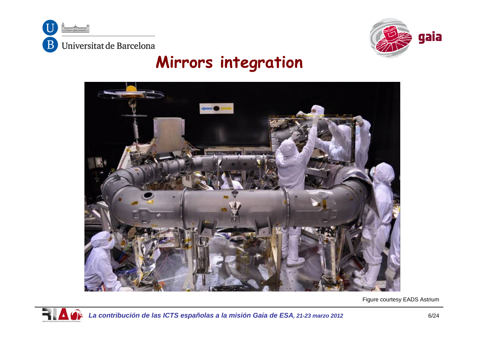



### **Mirrors integration**



Figure courtesy EADS Astrium



*La contribución de las ICTS españolas a la misión Gaia de ESA, 21-23 marzo 2012* 6/24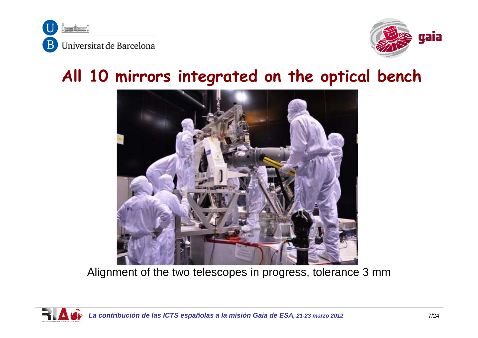



### **All 10 mirrors integrated on the optical bench**



Alignment of the two telescopes in progress, tolerance 3 mm

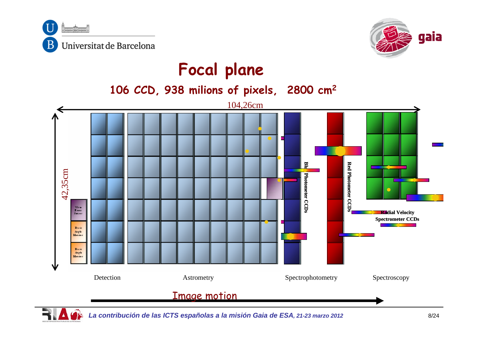



### **Focal plane**

**2 106 CCD, 938 milions of pixels, 2800 cm2**



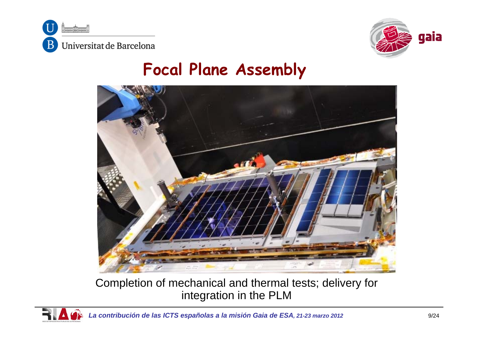



### **Focal Plane Assembly**



Completion of mechanical and thermal tests; delivery for integration in the PLM

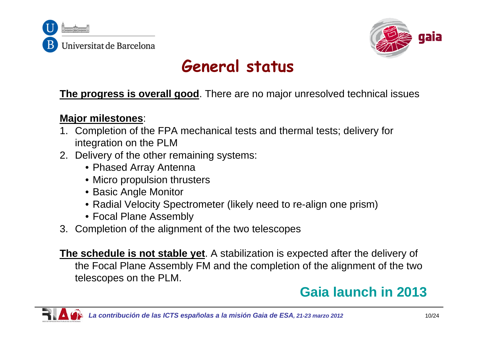



### **General status**

**The progress is overall good**. There are no major unresolved technical issues

#### **Major milestones**:

- 1. Completion of the FPA mechanical tests and thermal tests; delivery for integration on the PLM
- 2. Delivery of the other remaining systems:
	- Phased Array Antenna
	- Micro propulsion thrusters
	- Basic Angle Monitor
	- Radial Velocity Spectrometer (likely need to re-align one prism)
	- Focal Plane Assembly
- 3. Completion of the alignment of the two telescopes

**The schedule is not stable yet**. A stabilization is expected after the delivery of the Focal Plane Assembly FM and the completion of the alignment of the two telescopes on the PLM.

### **Gaia launch in 2013**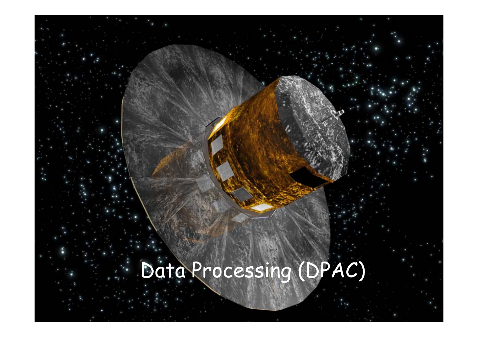## Data Processing (DPAC)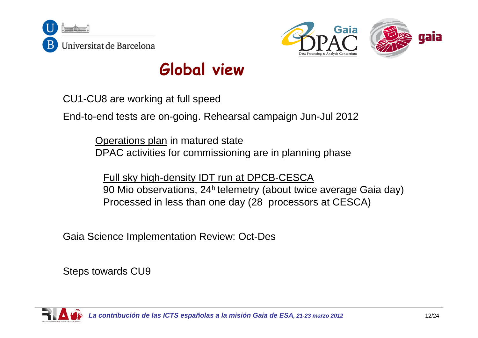



### **Global view**

CU1-CU8 are working at full speed

End-to-end tests are on-going. Rehearsal campaign Jun-Jul 2012

Operations plan in matured state DPAC activities for commissioning are in planning phase

Full sky high-density IDT run at DPCB-CESCA 90 Mio observations, 24h telemetry (about twice average Gaia day) Processed in less than one day (28 processors at CESCA)

Gaia Science Implementation Review: Oct-Des

Steps towards CU9

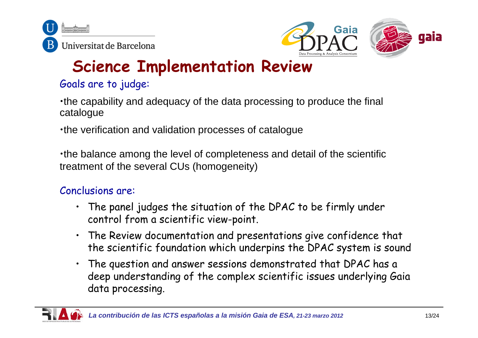



### **Science Implementation Review**

#### Goals are to judge:

•the capability and adequacy of the data processing to produce the final catalogue

•the verification and validation processes of catalogue

•the balance among the level of completeness and detail of the scientific treatment of the several CUs (homogeneity)

#### Conclusions are:

- The panel judges the situation of the DPAC to be firmly under control from a scientific view-point.
- The Review documentation and presentations give confidence that the scientific foundation which underpins the DPAC system is sound
- • The question and answer sessions demonstrated that DPAC has a deep understanding of the complex scientific issues underlying Gaia data processing.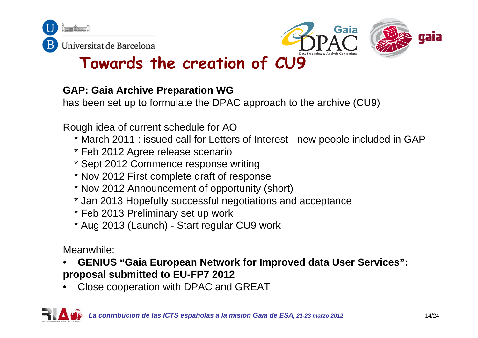





### **Towards the creation of CU9**

#### **GAP: Gaia Archive Preparation WG**

has been set up to formulate the DPAC approach to the archive (CU9)

Rough idea of current schedule for AO

- \* March 2011 : issued call for Letters of Interest new people included in GAP
- \* Feb 2012 Agree release scenario
- \* Sept 2012 Commence response writing
- \* Nov 2012 First complete draft of response
- \* Nov 2012 Announcement of opportunity (short)
- \* Jan 2013 Hopefully successful negotiations and acceptance
- \* Feb 2013 Preliminary set up work
- \* Aug 2013 (Launch) Start regular CU9 work

Meanwhile:

- • **GENIUS "Gaia European Network for Improved data User Services": proposal submitted to EU-FP7 2012**
- •Close cooperation with DPAC and GREAT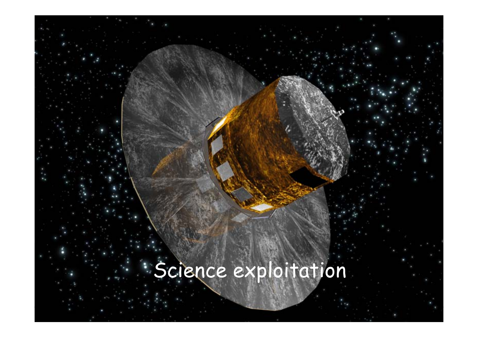## Science exploitation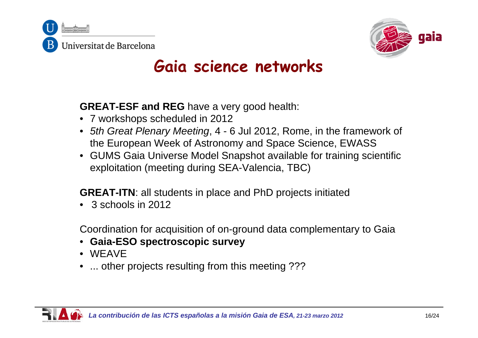



### **Gaia science networks**

**GREAT-ESF and REG** have a very good health:

- 7 workshops scheduled in 2012
- *5th Great Plenary Meeting*, 4 6 Jul 2012, Rome, in the framework of the European Week of Astronomy and Space Science, EWASS
- GUMS Gaia Universe Model Snapshot available for training scientific exploitation (meeting during SEA-Valencia, TBC)

**GREAT-ITN**: all students in place and PhD projects initiated

•3 schools in 2012

Coordination for acquisition of on-ground data complementary to Gaia

- **Gaia-ESO spectroscopic survey**
- WEAVE
- ... other projects resulting from this meeting ???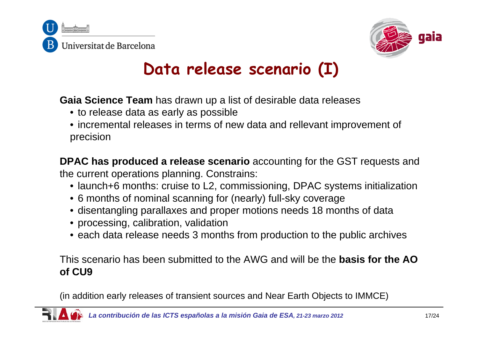



### **Data release scenario (I)**

**Gaia Science Team** has drawn up a list of desirable data releases

- to release data as early as possible
- incremental releases in terms of new data and rellevant improvement of precision

**DPAC has produced a release scenario** accounting for the GST requests and the current operations planning. Constrains:

- launch+6 months: cruise to L2, commissioning, DPAC systems initialization
- 6 months of nominal scanning for (nearly) full-sky coverage
- disentangling parallaxes and proper motions needs 18 months of data
- processing, calibration, validation
- each data release needs 3 months from production to the public archives

This scenario has been submitted to the AWG and will be the **basis for the AO of CU9**

(in addition early releases of transient sources and Near Earth Objects to IMMCE)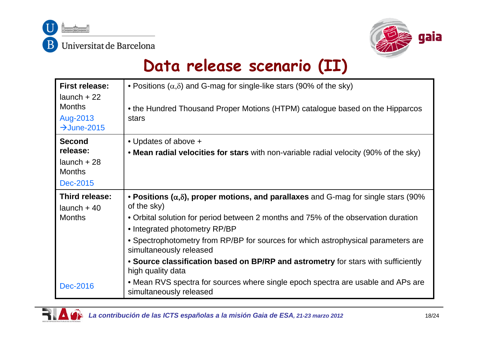



### **Data release scenario (II)**

| <b>First release:</b><br>$l$ aunch + 22<br><b>Months</b><br>Aug-2013<br>$\rightarrow$ June-2015 | • Positions $(\alpha,\delta)$ and G-mag for single-like stars (90% of the sky)<br>• the Hundred Thousand Proper Motions (HTPM) catalogue based on the Hipparcos<br>stars                                                                                                                                                                                                                                                                                       |
|-------------------------------------------------------------------------------------------------|----------------------------------------------------------------------------------------------------------------------------------------------------------------------------------------------------------------------------------------------------------------------------------------------------------------------------------------------------------------------------------------------------------------------------------------------------------------|
| <b>Second</b><br>release:<br>$l$ aunch + 28<br><b>Months</b><br>Dec-2015                        | • Updates of above +<br>• Mean radial velocities for stars with non-variable radial velocity (90% of the sky)                                                                                                                                                                                                                                                                                                                                                  |
| Third release:<br>$l$ aunch + 40<br><b>Months</b>                                               | • Positions $(\alpha,\delta)$ , proper motions, and parallaxes and G-mag for single stars (90%<br>of the sky)<br>• Orbital solution for period between 2 months and 75% of the observation duration<br>• Integrated photometry RP/BP<br>• Spectrophotometry from RP/BP for sources for which astrophysical parameters are<br>simultaneously released<br>• Source classification based on BP/RP and astrometry for stars with sufficiently<br>high quality data |
| <b>Dec-2016</b>                                                                                 | • Mean RVS spectra for sources where single epoch spectra are usable and APs are<br>simultaneously released                                                                                                                                                                                                                                                                                                                                                    |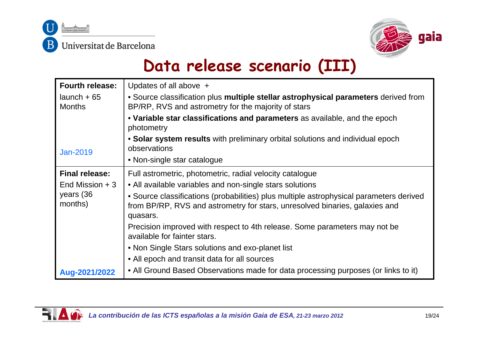



### **Data release scenario (III)**

| <b>Fourth release:</b>          | Updates of all above +                                                                                                                                                             |  |  |  |  |
|---------------------------------|------------------------------------------------------------------------------------------------------------------------------------------------------------------------------------|--|--|--|--|
| $l$ aunch + 65<br><b>Months</b> | • Source classification plus multiple stellar astrophysical parameters derived from<br>BP/RP, RVS and astrometry for the majority of stars                                         |  |  |  |  |
|                                 | • Variable star classifications and parameters as available, and the epoch<br>photometry                                                                                           |  |  |  |  |
| Jan-2019                        | • Solar system results with preliminary orbital solutions and individual epoch<br>observations                                                                                     |  |  |  |  |
|                                 | • Non-single star catalogue                                                                                                                                                        |  |  |  |  |
| <b>Final release:</b>           | Full astrometric, photometric, radial velocity catalogue                                                                                                                           |  |  |  |  |
| End Mission $+3$                | • All available variables and non-single stars solutions                                                                                                                           |  |  |  |  |
| years (36<br>months)            | • Source classifications (probabilities) plus multiple astrophysical parameters derived<br>from BP/RP, RVS and astrometry for stars, unresolved binaries, galaxies and<br>quasars. |  |  |  |  |
|                                 | Precision improved with respect to 4th release. Some parameters may not be<br>available for fainter stars.                                                                         |  |  |  |  |
|                                 | • Non Single Stars solutions and exo-planet list                                                                                                                                   |  |  |  |  |
|                                 | • All epoch and transit data for all sources                                                                                                                                       |  |  |  |  |
| Aug-2021/2022                   | • All Ground Based Observations made for data processing purposes (or links to it)                                                                                                 |  |  |  |  |

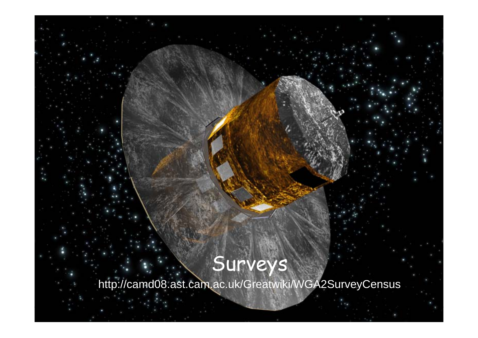### Surveys

http://camd08.ast.cam.ac.uk/Greatwiki/WGA2SurveyCensus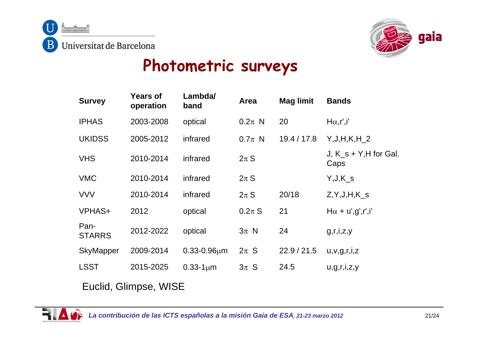



### **Photometric surveys**

| <b>Survey</b>         | <b>Years of</b><br>operation | Lambda/<br>band     | Area       | <b>Mag limit</b> | <b>Bands</b>                      |  |  |
|-----------------------|------------------------------|---------------------|------------|------------------|-----------------------------------|--|--|
| <b>IPHAS</b>          | 2003-2008                    | optical             | $0.2\pi$ N | 20               | $H\alpha, r', i'$                 |  |  |
| <b>UKIDSS</b>         | 2005-2012                    | infrared            | $0.7\pi$ N | 19.4 / 17.8      | $Y, J, H, K, H_2$                 |  |  |
| <b>VHS</b>            | 2010-2014                    | infrared            | $2\pi S$   |                  | J, $K_s + Y$ , H for Gal.<br>Caps |  |  |
| <b>VMC</b>            | 2010-2014                    | infrared            | $2\pi S$   |                  | $Y,J,K_s$                         |  |  |
| <b>VVV</b>            | 2010-2014                    | infrared            | $2\pi S$   | 20/18            | $Z, Y, J, H, K$ <sub>S</sub>      |  |  |
| <b>VPHAS+</b>         | 2012                         | optical             | $0.2\pi S$ | 21               | $H\alpha + u', g', r', i'$        |  |  |
| Pan-<br><b>STARRS</b> | 2012-2022                    | optical             | $3\pi$ N   | 24               | g,r,i,z,y                         |  |  |
| <b>SkyMapper</b>      | 2009-2014                    | $0.33 - 0.96 \mu m$ | $2\pi$ S   | 22.9 / 21.5      | u, v, g, r, i, z                  |  |  |
| <b>LSST</b>           | 2015-2025                    | $0.33 - 1 \mu m$    | $3\pi$ S   | 24.5             | u, g, r, i, z, y                  |  |  |
| Euclid, Glimpse, WISE |                              |                     |            |                  |                                   |  |  |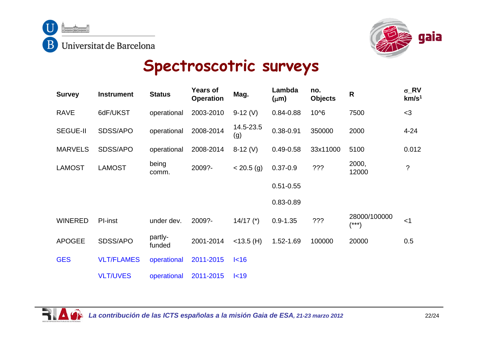



### **Spectroscotric surveys**

| <b>Survey</b>   | <b>Instrument</b> | <b>Status</b>     | <b>Years of</b><br><b>Operation</b> | Mag.             | Lambda<br>$(\mu m)$ | no.<br><b>Objects</b> | $\mathsf{R}$          | $\sigma$ <sub>RV</sub><br>km/s <sup>1</sup> |
|-----------------|-------------------|-------------------|-------------------------------------|------------------|---------------------|-----------------------|-----------------------|---------------------------------------------|
| <b>RAVE</b>     | 6dF/UKST          | operational       | 2003-2010                           | $9-12(V)$        | $0.84 - 0.88$       | 10^6                  | 7500                  | $<$ 3                                       |
| <b>SEGUE-II</b> | SDSS/APO          | operational       | 2008-2014                           | 14.5-23.5<br>(g) | $0.38 - 0.91$       | 350000                | 2000                  | $4 - 24$                                    |
| <b>MARVELS</b>  | SDSS/APO          | operational       | 2008-2014                           | $8-12(V)$        | $0.49 - 0.58$       | 33x11000              | 5100                  | 0.012                                       |
| <b>LAMOST</b>   | <b>LAMOST</b>     | being<br>comm.    | 2009?-                              | $< 20.5$ (g)     | $0.37 - 0.9$        | ???                   | 2000,<br>12000        | $\ddot{?}$                                  |
|                 |                   |                   |                                     |                  | $0.51 - 0.55$       |                       |                       |                                             |
|                 |                   |                   |                                     |                  | $0.83 - 0.89$       |                       |                       |                                             |
| <b>WINERED</b>  | PI-inst           | under dev.        | 2009?-                              | $14/17$ (*)      | $0.9 - 1.35$        | ???                   | 28000/100000<br>(***) | < 1                                         |
| <b>APOGEE</b>   | SDSS/APO          | partly-<br>funded | 2001-2014                           | $<$ 13.5 (H)     | 1.52-1.69           | 100000                | 20000                 | 0.5                                         |
| <b>GES</b>      | <b>VLT/FLAMES</b> | operational       | 2011-2015                           | I<16             |                     |                       |                       |                                             |
|                 | <b>VLT/UVES</b>   | operational       | 2011-2015                           | I<19             |                     |                       |                       |                                             |

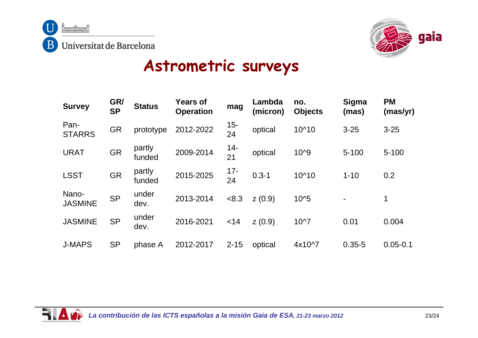



### **Astrometric surveys**

| <b>Survey</b>           | GR/<br><b>SP</b> | <b>Status</b>    | <b>Years of</b><br><b>Operation</b> | mag          | Lambda<br>(micron) | no.<br><b>Objects</b> | Sigma<br>(mas) | <b>PM</b><br>(mas/yr) |
|-------------------------|------------------|------------------|-------------------------------------|--------------|--------------------|-----------------------|----------------|-----------------------|
| Pan-<br><b>STARRS</b>   | <b>GR</b>        | prototype        | 2012-2022                           | $15 -$<br>24 | optical            | 10^10                 | $3 - 25$       | $3 - 25$              |
| <b>URAT</b>             | <b>GR</b>        | partly<br>funded | 2009-2014                           | $14 -$<br>21 | optical            | 10^9                  | $5 - 100$      | $5 - 100$             |
| <b>LSST</b>             | <b>GR</b>        | partly<br>funded | 2015-2025                           | $17 -$<br>24 | $0.3 - 1$          | 10^10                 | $1 - 10$       | 0.2                   |
| Nano-<br><b>JASMINE</b> | <b>SP</b>        | under<br>dev.    | 2013-2014                           | < 8.3        | Z(0.9)             | $10^{5}$              |                | $\mathbf 1$           |
| <b>JASMINE</b>          | <b>SP</b>        | under<br>dev.    | 2016-2021                           | $<$ 14       | Z(0.9)             | $10^{27}$             | 0.01           | 0.004                 |
| <b>J-MAPS</b>           | <b>SP</b>        | phase A          | 2012-2017                           | $2 - 15$     | optical            | 4x10^7                | $0.35 - 5$     | $0.05 - 0.1$          |